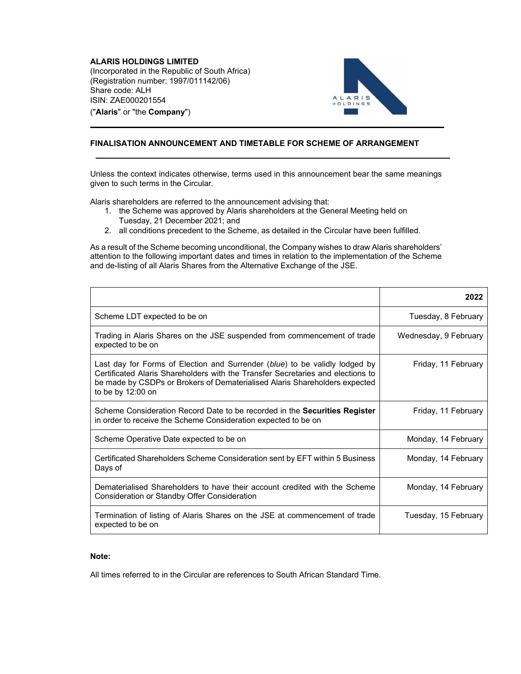**ALARIS HOLDINGS LIMITED**  (Incorporated in the Republic of South Africa) (Registration number: 1997/011142/06) Share code: ALH ISIN: ZAE000201554 ("**Alaris**" or "the **Company**")



## **FINALISATION ANNOUNCEMENT AND TIMETABLE FOR SCHEME OF ARRANGEMENT**

Unless the context indicates otherwise, terms used in this announcement bear the same meanings given to such terms in the Circular.

Alaris shareholders are referred to the announcement advising that:

- 1. the Scheme was approved by Alaris shareholders at the General Meeting held on
	- Tuesday, 21 December 2021; and
- 2. all conditions precedent to the Scheme, as detailed in the Circular have been fulfilled.

As a result of the Scheme becoming unconditional, the Company wishes to draw Alaris shareholders' attention to the following important dates and times in relation to the implementation of the Scheme and de-listing of all Alaris Shares from the Alternative Exchange of the JSE.

|                                                                                                                                                                                                                                                                   | 2022                  |
|-------------------------------------------------------------------------------------------------------------------------------------------------------------------------------------------------------------------------------------------------------------------|-----------------------|
| Scheme LDT expected to be on                                                                                                                                                                                                                                      | Tuesday, 8 February   |
| Trading in Alaris Shares on the JSE suspended from commencement of trade<br>expected to be on                                                                                                                                                                     | Wednesday, 9 February |
| Last day for Forms of Election and Surrender (blue) to be validly lodged by<br>Certificated Alaris Shareholders with the Transfer Secretaries and elections to<br>be made by CSDPs or Brokers of Dematerialised Alaris Shareholders expected<br>to be by 12:00 on | Friday, 11 February   |
| Scheme Consideration Record Date to be recorded in the <b>Securities Register</b><br>in order to receive the Scheme Consideration expected to be on                                                                                                               | Friday, 11 February   |
| Scheme Operative Date expected to be on                                                                                                                                                                                                                           | Monday, 14 February   |
| Certificated Shareholders Scheme Consideration sent by EFT within 5 Business<br>Days of                                                                                                                                                                           | Monday, 14 February   |
| Dematerialised Shareholders to have their account credited with the Scheme<br>Consideration or Standby Offer Consideration                                                                                                                                        | Monday, 14 February   |
| Termination of listing of Alaris Shares on the JSE at commencement of trade<br>expected to be on                                                                                                                                                                  | Tuesday, 15 February  |

## **Note:**

All times referred to in the Circular are references to South African Standard Time.